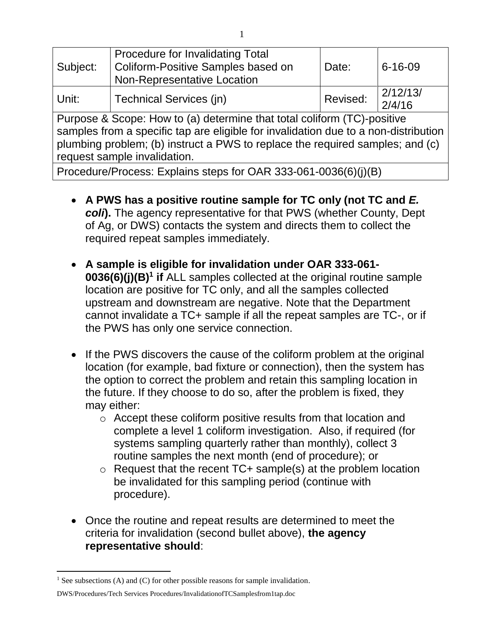| Subject:                                                                                                                                                                                                                                                                        | <b>Procedure for Invalidating Total</b><br>Coliform-Positive Samples based on<br><b>Non-Representative Location</b> | Date:    | $6 - 16 - 09$      |
|---------------------------------------------------------------------------------------------------------------------------------------------------------------------------------------------------------------------------------------------------------------------------------|---------------------------------------------------------------------------------------------------------------------|----------|--------------------|
| Unit:                                                                                                                                                                                                                                                                           | Technical Services (jn)                                                                                             | Revised: | 2/12/13/<br>2/4/16 |
| Purpose & Scope: How to (a) determine that total coliform (TC)-positive<br>samples from a specific tap are eligible for invalidation due to a non-distribution<br>plumbing problem; (b) instruct a PWS to replace the required samples; and (c)<br>request sample invalidation. |                                                                                                                     |          |                    |

Procedure/Process: Explains steps for OAR 333-061-0036(6)(j)(B)

- **A PWS has a positive routine sample for TC only (not TC and** *E. coli***).** The agency representative for that PWS (whether County, Dept of Ag, or DWS) contacts the system and directs them to collect the required repeat samples immediately.
- **A sample is eligible for invalidation under OAR 333-061- 0036(6)(j)(B) 1 if** ALL samples collected at the original routine sample location are positive for TC only, and all the samples collected upstream and downstream are negative. Note that the Department cannot invalidate a TC+ sample if all the repeat samples are TC-, or if the PWS has only one service connection.
- If the PWS discovers the cause of the coliform problem at the original location (for example, bad fixture or connection), then the system has the option to correct the problem and retain this sampling location in the future. If they choose to do so, after the problem is fixed, they may either:
	- o Accept these coliform positive results from that location and complete a level 1 coliform investigation. Also, if required (for systems sampling quarterly rather than monthly), collect 3 routine samples the next month (end of procedure); or
	- $\circ$  Request that the recent TC+ sample(s) at the problem location be invalidated for this sampling period (continue with procedure).
- Once the routine and repeat results are determined to meet the criteria for invalidation (second bullet above), **the agency representative should**:

 $\overline{a}$ 

<sup>&</sup>lt;sup>1</sup> See subsections (A) and (C) for other possible reasons for sample invalidation.

DWS/Procedures/Tech Services Procedures/InvalidationofTCSamplesfrom1tap.doc